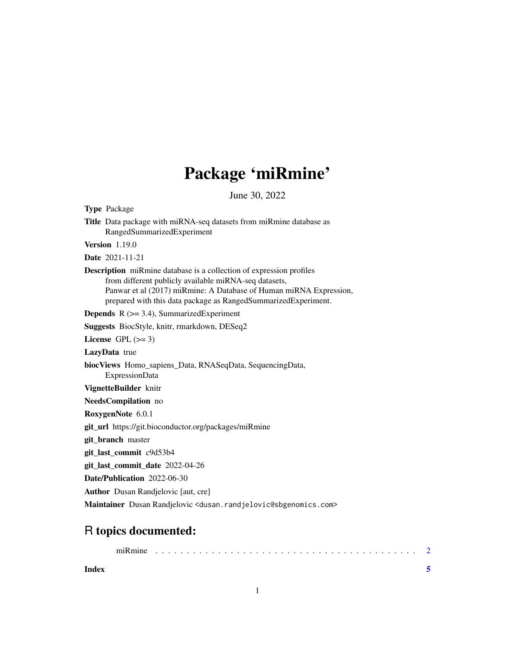## Package 'miRmine'

June 30, 2022

<span id="page-0-0"></span>Type Package Title Data package with miRNA-seq datasets from miRmine database as RangedSummarizedExperiment Version 1.19.0 Date 2021-11-21 Description miRmine database is a collection of expression profiles from different publicly available miRNA-seq datasets, Panwar et al (2017) miRmine: A Database of Human miRNA Expression, prepared with this data package as RangedSummarizedExperiment. **Depends** R  $(>= 3.4)$ , SummarizedExperiment Suggests BiocStyle, knitr, rmarkdown, DESeq2 License GPL  $(>= 3)$ LazyData true biocViews Homo\_sapiens\_Data, RNASeqData, SequencingData, ExpressionData VignetteBuilder knitr NeedsCompilation no RoxygenNote 6.0.1 git\_url https://git.bioconductor.org/packages/miRmine git\_branch master git\_last\_commit c9d53b4 git\_last\_commit\_date 2022-04-26 Date/Publication 2022-06-30 Author Dusan Randjelovic [aut, cre] Maintainer Dusan Randjelovic <dusan.randjelovic@sbgenomics.com>

### R topics documented:

|       | miRmine |  |  |  |  |  |  |  |  |  |  |  |  |  |  |  |  |
|-------|---------|--|--|--|--|--|--|--|--|--|--|--|--|--|--|--|--|
| Index |         |  |  |  |  |  |  |  |  |  |  |  |  |  |  |  |  |

1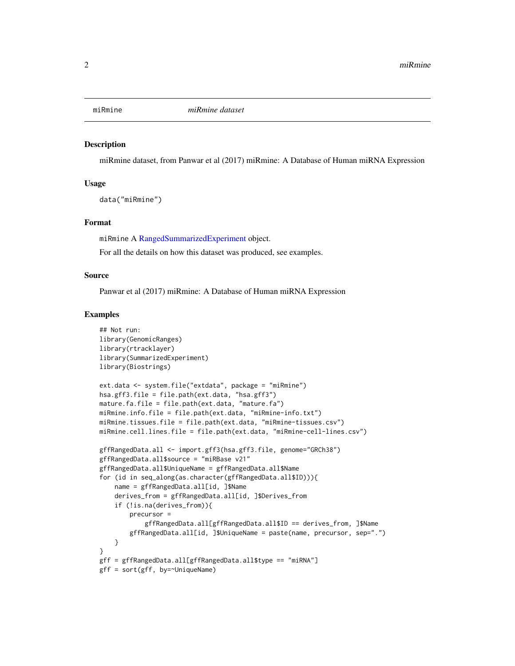<span id="page-1-0"></span>

#### Description

miRmine dataset, from Panwar et al (2017) miRmine: A Database of Human miRNA Expression

#### Usage

data("miRmine")

#### Format

miRmine A [RangedSummarizedExperiment](#page-0-0) object.

For all the details on how this dataset was produced, see examples.

#### Source

Panwar et al (2017) miRmine: A Database of Human miRNA Expression

#### Examples

```
## Not run:
library(GenomicRanges)
library(rtracklayer)
library(SummarizedExperiment)
library(Biostrings)
ext.data <- system.file("extdata", package = "miRmine")
hsa.gff3.file = file.path(ext.data, "hsa.gff3")
mature.fa.file = file.path(ext.data, "mature.fa")
miRmine.info.file = file.path(ext.data, "miRmine-info.txt")
miRmine.tissues.file = file.path(ext.data, "miRmine-tissues.csv")
miRmine.cell.lines.file = file.path(ext.data, "miRmine-cell-lines.csv")
gffRangedData.all <- import.gff3(hsa.gff3.file, genome="GRCh38")
gffRangedData.all$source = "miRBase v21"
gffRangedData.all$UniqueName = gffRangedData.all$Name
for (id in seq_along(as.character(gffRangedData.all$ID))){
   name = gffRangedData.all[id, ]$Name
    derives_from = gffRangedData.all[id, ]$Derives_from
    if (!is.na(derives_from)){
        precursor =
            gffRangedData.all[gffRangedData.all$ID == derives_from, ]$Name
        gffRangedData.all[id, ]$UniqueName = paste(name, precursor, sep=".")
    }
}
gff = gffRangedData.all[gffRangedData.all$type == "miRNA"]
gff = sort(gff, by=~UniqueName)
```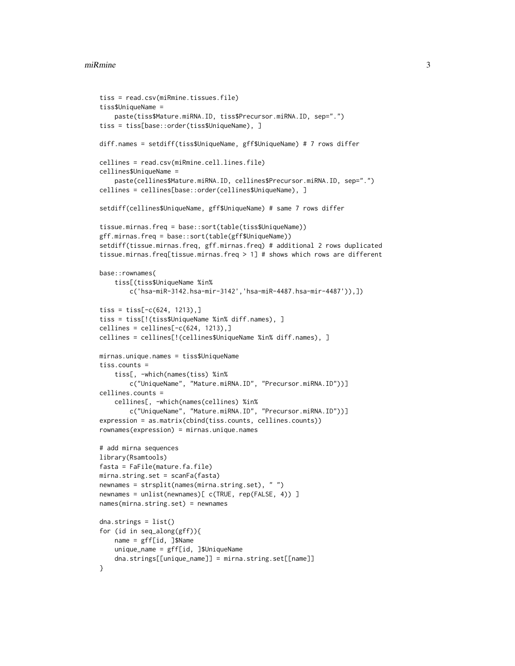#### miRmine 3

```
tiss = read.csv(miRmine.tissues.file)
tiss$UniqueName =
   paste(tiss$Mature.miRNA.ID, tiss$Precursor.miRNA.ID, sep=".")
tiss = tiss[base::order(tiss$UniqueName), ]
diff.names = setdiff(tiss$UniqueName, gff$UniqueName) # 7 rows differ
cellines = read.csv(miRmine.cell.lines.file)
cellines$UniqueName =
    paste(cellines$Mature.miRNA.ID, cellines$Precursor.miRNA.ID, sep=".")
cellines = cellines[base::order(cellines$UniqueName), ]
setdiff(cellines$UniqueName, gff$UniqueName) # same 7 rows differ
tissue.mirnas.freq = base::sort(table(tiss$UniqueName))
gff.mirnas.freq = base::sort(table(gff$UniqueName))
setdiff(tissue.mirnas.freq, gff.mirnas.freq) # additional 2 rows duplicated
tissue.mirnas.freq[tissue.mirnas.freq > 1] # shows which rows are different
base::rownames(
    tiss[(tiss$UniqueName %in%
       c('hsa-miR-3142.hsa-mir-3142','hsa-miR-4487.hsa-mir-4487')),])
tiss = tiss[-c(624, 1213),]tiss = tiss[!(tiss$UniqueName %in% diff.names), ]
cellines = cellines[-c(624, 1213),]cellines = cellines[!(cellines$UniqueName %in% diff.names), ]
mirnas.unique.names = tiss$UniqueName
tiss.counts =
   tiss[, -which(names(tiss) %in%
       c("UniqueName", "Mature.miRNA.ID", "Precursor.miRNA.ID"))]
cellines.counts =
    cellines[, -which(names(cellines) %in%
       c("UniqueName", "Mature.miRNA.ID", "Precursor.miRNA.ID"))]
expression = as.matrix(cbind(tiss.counts, cellines.counts))
rownames(expression) = mirnas.unique.names
# add mirna sequences
library(Rsamtools)
fasta = FaFile(mature.fa.file)
mirna.string.set = scanFa(fasta)
newnames = strsplit(names(mirna.string.set), " ")
newnames = unlist(newnames)[ c(TRUE, rep(FALSE, 4)) ]
names(mirna.string.set) = newnames
dna.strings = list()for (id in seq_along(gff)){
   name = gff[id, ]$Name
   unique_name = gff[id, ]$UniqueName
    dna.strings[[unique_name]] = mirna.string.set[[name]]
}
```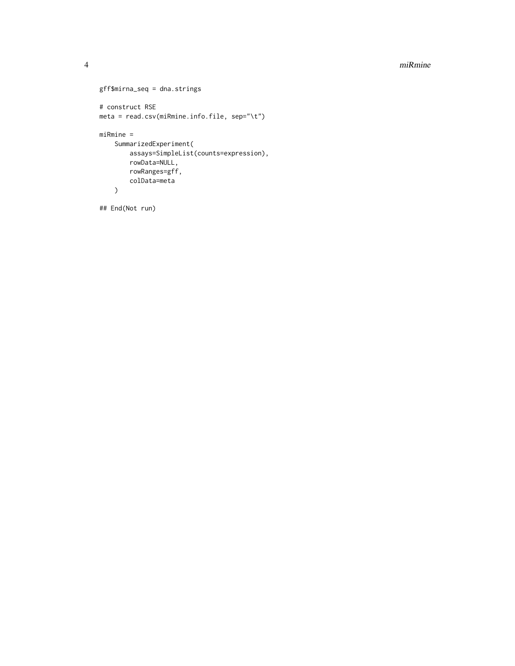#### 4 miRmine

```
gff$mirna_seq = dna.strings
# construct RSE
meta = read.csv(miRmine.info.file, sep="\t")
miRmine =
   SummarizedExperiment(
       assays=SimpleList(counts=expression),
       rowData=NULL,
       rowRanges=gff,
       colData=meta
    \lambda## End(Not run)
```